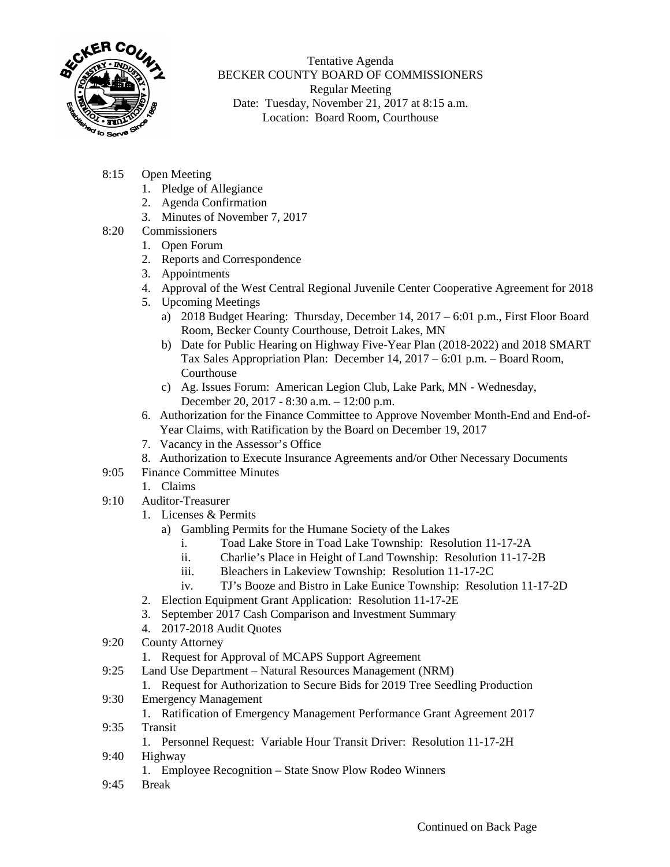

Tentative Agenda BECKER COUNTY BOARD OF COMMISSIONERS Regular Meeting Date: Tuesday, November 21, 2017 at 8:15 a.m. Location: Board Room, Courthouse

- 8:15 Open Meeting
	- 1. Pledge of Allegiance
	- 2. Agenda Confirmation
	- 3. Minutes of November 7, 2017
- 8:20 Commissioners
	- 1. Open Forum
	- 2. Reports and Correspondence
	- 3. Appointments
	- 4. Approval of the West Central Regional Juvenile Center Cooperative Agreement for 2018
	- 5. Upcoming Meetings
		- a) 2018 Budget Hearing: Thursday, December 14, 2017 6:01 p.m., First Floor Board Room, Becker County Courthouse, Detroit Lakes, MN
		- b) Date for Public Hearing on Highway Five-Year Plan (2018-2022) and 2018 SMART Tax Sales Appropriation Plan: December 14, 2017 – 6:01 p.m. – Board Room, Courthouse
		- c) Ag. Issues Forum: American Legion Club, Lake Park, MN Wednesday, December 20, 2017 - 8:30 a.m. – 12:00 p.m.
	- 6. Authorization for the Finance Committee to Approve November Month-End and End-of- Year Claims, with Ratification by the Board on December 19, 2017
	- 7. Vacancy in the Assessor's Office
	- 8. Authorization to Execute Insurance Agreements and/or Other Necessary Documents
- 9:05 Finance Committee Minutes
	- 1. Claims
- 9:10 Auditor-Treasurer
	- 1. Licenses & Permits
		- a) Gambling Permits for the Humane Society of the Lakes
			- i. Toad Lake Store in Toad Lake Township: Resolution 11-17-2A
			- ii. Charlie's Place in Height of Land Township: Resolution 11-17-2B
			- iii. Bleachers in Lakeview Township: Resolution 11-17-2C
			- iv. TJ's Booze and Bistro in Lake Eunice Township: Resolution 11-17-2D
	- 2. Election Equipment Grant Application: Resolution 11-17-2E
	- 3. September 2017 Cash Comparison and Investment Summary
	- 4. 2017-2018 Audit Quotes
- 9:20 County Attorney
	- 1. Request for Approval of MCAPS Support Agreement
- 9:25 Land Use Department Natural Resources Management (NRM)
- 1. Request for Authorization to Secure Bids for 2019 Tree Seedling Production
- 9:30 Emergency Management
- 1. Ratification of Emergency Management Performance Grant Agreement 2017 9:35 Transit
	- 1. Personnel Request: Variable Hour Transit Driver: Resolution 11-17-2H
- 9:40 Highway
	- 1. Employee Recognition State Snow Plow Rodeo Winners
- 9:45 Break